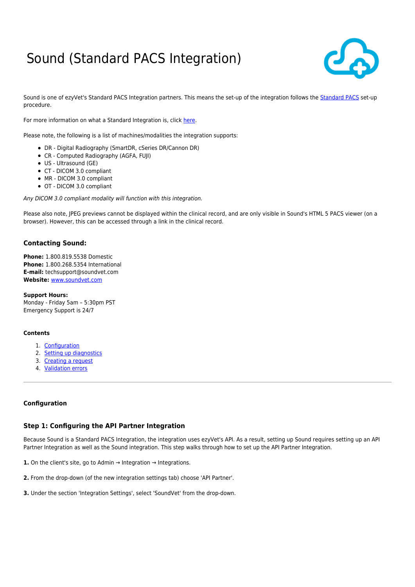# Sound (Standard PACS Integration)



Sound is one of ezyVet's [Standard PACS](http://support.ezyvet.com/support/solutions/articles/24000028114-standard-pacs-integration-spi-) Integration partners. This means the set-up of the integration follows the Standard PACS set-up procedure.

For more information on what a Standard Integration is, click [here](http://support.ezyvet.com/support/solutions/articles/24000028314-what-are-standard-integrations-).

Please note, the following is a list of machines/modalities the integration supports:

- DR Digital Radiography (SmartDR, cSeries DR/Cannon DR)
- CR Computed Radiography (AGFA, FUJI)
- US Ultrasound (GE)
- CT DICOM 3.0 compliant
- MR DICOM 3.0 compliant
- OT DICOM 3.0 compliant

Any DICOM 3.0 compliant modality will function with this integration.

Please also note, JPEG previews cannot be displayed within the clinical record, and are only visible in Sound's HTML 5 PACS viewer (on a browser). However, this can be accessed through a link in the clinical record.

# **Contacting Sound:**

**Phone:** 1.800.819.5538 Domestic **Phone:** 1.800.268.5354 International **E-mail:** techsupport@soundvet.com **Website:** [www.soundvet.com](http://www.soundvet.com/)

**Support Hours:** Monday - Friday 5am – 5:30pm PST Emergency Support is 24/7

#### **Contents**

- 1. [Configuration](#page-0-0)
- 2. [Setting up diagnostics](#page-4-0)
- 3. [Creating a request](#page-5-0)
- 4. [Validation errors](#page-6-0)

#### <span id="page-0-0"></span>**Configuration**

#### **Step 1: Configuring the API Partner Integration**

Because Sound is a Standard PACS Integration, the integration uses ezyVet's API. As a result, setting up Sound requires setting up an API Partner Integration as well as the Sound integration. This step walks through how to set up the API Partner Integration.

**1.** On the client's site, go to Admin → Integration → Integrations.

**2.** From the drop-down (of the new integration settings tab) choose 'API Partner'.

**3.** Under the section 'Integration Settings', select 'SoundVet' from the drop-down.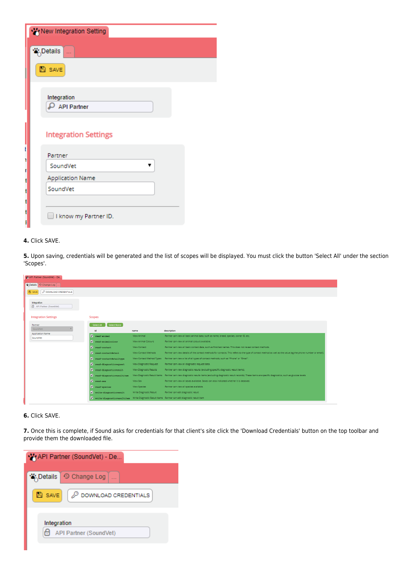| New Integration Setting                |  |
|----------------------------------------|--|
| <b>答</b> ,Details<br>                  |  |
| 图 SAVE                                 |  |
| Integration<br><b>API Partner</b>      |  |
| <b>Integration Settings</b>            |  |
| t<br>Partner<br>ī<br>SoundVet<br>ľ     |  |
| Application Name<br>t<br>SoundVet<br>t |  |
| t<br>ı<br>I know my Partner ID.        |  |
|                                        |  |

#### **4.** Click SAVE.

**5.** Upon saving, credentials will be generated and the list of scopes will be displayed. You must click the button 'Select All' under the section 'Scopes'.

| MAPI Partner (SoundVet) - De.           |                                  |                           |                                                                                                                                                                            |
|-----------------------------------------|----------------------------------|---------------------------|----------------------------------------------------------------------------------------------------------------------------------------------------------------------------|
| ** Details O Change Log                 |                                  |                           |                                                                                                                                                                            |
| P DOWNLOAD CREDENTIALS<br><b>B</b> SAVE |                                  |                           |                                                                                                                                                                            |
|                                         |                                  |                           |                                                                                                                                                                            |
| Integration<br>API Partner (SoundVet)   |                                  |                           |                                                                                                                                                                            |
|                                         |                                  |                           |                                                                                                                                                                            |
| <b>Integration Settings</b>             | <b>Scopes</b>                    |                           |                                                                                                                                                                            |
| Partner                                 | Select None<br>Select All        |                           |                                                                                                                                                                            |
| SoundVet                                | id                               | name                      | description                                                                                                                                                                |
| <b>Application Name</b><br>SoundVet     | $\sqrt{\phantom{a}}$ read-animal | View Animal               | Partner can view all basic animal data, such as name, breed, species, owner ID, etc.                                                                                       |
|                                         | V read-animalcolour              | View Animal Colours       | Partner can view all animal colours available.                                                                                                                             |
|                                         | V read-contact                   | View Contact              | Partner can view all basic contact data, such as first/last names. This does not reveal contact methods,                                                                   |
|                                         | V read-contactdetail             | View Contact Methods      | Partner can view details of the contact methods for contacts. This refers to the type of contact method as well as the value (eg the phone number or email).               |
|                                         | v read-contactdetailtype         | View Contact Method Types | Partner can view a list of all types of contact methods, such as "Phone" or "Email".                                                                                       |
|                                         | v read-diagnosticrequest         | View Diagnostic Request   | Partner can view all diagnostic request data.                                                                                                                              |
|                                         | v read-diagnosticresult          | View Diagnostic Results   | Partner can view diagnostic results (excluding specific diagnostic result items).                                                                                          |
|                                         | v read-diagnosticresultitem      |                           | View Diagnostic Result Items Partner can view diagnostic results items (excluding diagnostic result records). These items are specific diagnostics, such as glucose levels |
|                                         | $\sqrt{\phantom{a}}$ read-sex    | View Sex                  | Partner can view all sexes available. Sexes can also indicated whether it is desexed.                                                                                      |
|                                         | V read-species                   | View Species              | Partner can view all species available.                                                                                                                                    |
|                                         | v write-diagnosticresult         | Write Diagnostic Result   | Partner can edit diagnostic result                                                                                                                                         |
|                                         |                                  |                           | vite-diagnosticresultiten Write Diagnostic Result Items Partner can edit diagnostic result item                                                                            |

# **6.** Click SAVE.

**7.** Once this is complete, if Sound asks for credentials for that client's site click the 'Download Credentials' button on the top toolbar and provide them the downloaded file.

| API Partner (SoundVet) - De      |
|----------------------------------|
| % Details ① Change Log           |
| DOWNLOAD CREDENTIALS<br>$B$ save |
| Integration                      |
| API Partner (SoundVet)           |
|                                  |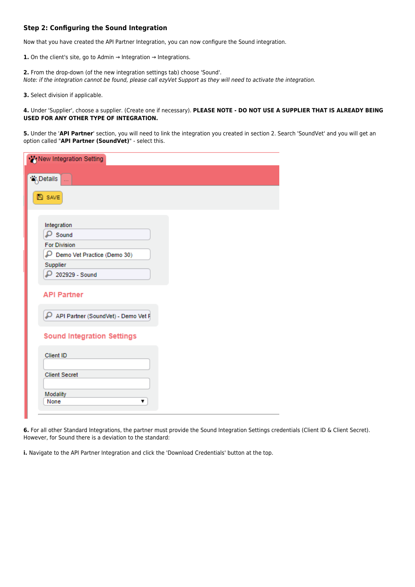# **Step 2: Configuring the Sound Integration**

Now that you have created the API Partner Integration, you can now configure the Sound integration.

**1.** On the client's site, go to Admin → Integration → Integrations.

**2.** From the drop-down (of the new integration settings tab) choose 'Sound'. Note: if the integration cannot be found, please call ezyVet Support as they will need to activate the integration.

**3.** Select division if applicable.

**4.** Under 'Supplier', choose a supplier. (Create one if necessary). **PLEASE NOTE - DO NOT USE A SUPPLIER THAT IS ALREADY BEING USED FOR ANY OTHER TYPE OF INTEGRATION.**

**5.** Under the '**API Partner**' section, you will need to link the integration you created in section 2. Search 'SoundVet' and you will get an option called "**API Partner (SoundVet)**" - select this.

| New Integration Setting                   |
|-------------------------------------------|
| '∛ <sub>∧</sub> Details<br>$\bar{\omega}$ |
| <b>图 SAVE</b>                             |
|                                           |
| Integration                               |
| $\rho$ Sound                              |
| <b>For Division</b>                       |
| Demo Vet Practice (Demo 30)               |
| Supplier                                  |
| 202929 - Sound                            |
| <b>API Partner</b>                        |
| P API Partner (SoundVet) - Demo Vet F     |
| <b>Sound Integration Settings</b>         |
| Client ID                                 |
| <b>Client Secret</b>                      |
| Modality                                  |
| None<br>▼                                 |
|                                           |

**6.** For all other Standard Integrations, the partner must provide the Sound Integration Settings credentials (Client ID & Client Secret). However, for Sound there is a deviation to the standard:

**i.** Navigate to the API Partner Integration and click the 'Download Credentials' button at the top.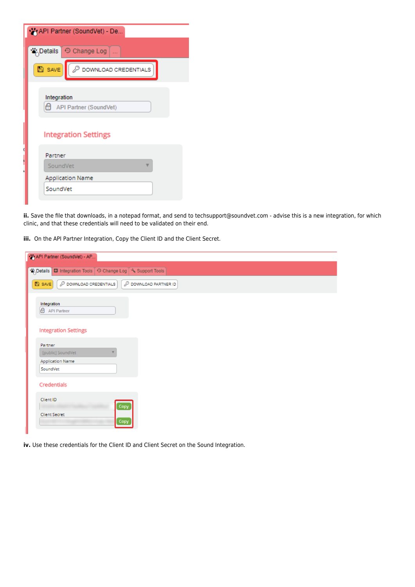| API Partner (SoundVet) - De                    |
|------------------------------------------------|
| <b>答</b> ,Details<br>O Change Log              |
| $B$ save<br>$\mathcal{P}$ DOWNLOAD CREDENTIALS |
| Integration<br>н<br>API Partner (SoundVet)     |
| <b>Integration Settings</b>                    |
| Partner                                        |
| SoundVet                                       |
| <b>Application Name</b>                        |
| SoundVet                                       |
|                                                |

**ii.** Save the file that downloads, in a notepad format, and send to techsupport@soundvet.com - advise this is a new integration, for which clinic, and that these credentials will need to be validated on their end.

**iii.** On the API Partner Integration, Copy the Client ID and the Client Secret.

| WAPI Partner (SoundVet) - AP                                                                                   |                          |
|----------------------------------------------------------------------------------------------------------------|--------------------------|
| <b>W</b> <sub>O</sub> Details<br><b>□</b> Integration Tools $\boxed{ }$ © Change Log $\boxed{ }$ Support Tools |                          |
| $B$ save<br>P DOWNLOAD CREDENTIALS                                                                             | ₽<br>DOWNLOAD PARTNER ID |
| Integration<br>API Partner                                                                                     |                          |
| <b>Integration Settings</b>                                                                                    |                          |
| Partner                                                                                                        |                          |
| [public] SoundVet                                                                                              |                          |
| <b>Application Name</b>                                                                                        |                          |
| SoundVet                                                                                                       |                          |
| <b>Credentials</b>                                                                                             |                          |
| Client ID                                                                                                      | Copy                     |
| <b>Client Secret</b>                                                                                           | Copy                     |

**iv.** Use these credentials for the Client ID and Client Secret on the Sound Integration.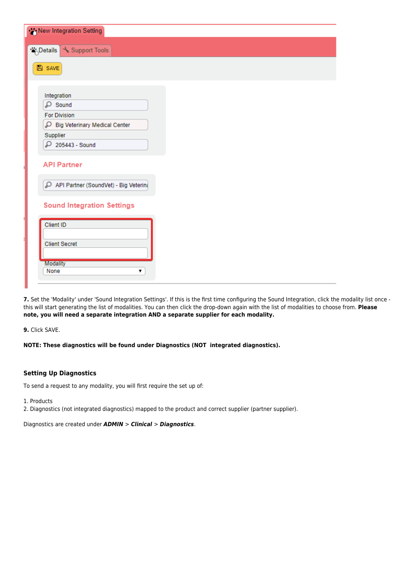| New Integration Setting                   |  |
|-------------------------------------------|--|
| "betails Support Tools"                   |  |
|                                           |  |
| $B$ SAVE                                  |  |
|                                           |  |
| Integration                               |  |
| $\mathsf{D}$ Sound                        |  |
| <b>For Division</b>                       |  |
| م<br><b>Big Veterinary Medical Center</b> |  |
| Supplier                                  |  |
| $O$ 205443 - Sound                        |  |
| <b>API Partner</b>                        |  |
| API Partner (SoundVet) - Big Veterina     |  |
| <b>Sound Integration Settings</b>         |  |
| Client ID                                 |  |
|                                           |  |
| <b>Client Secret</b>                      |  |
| <b>Modality</b>                           |  |
| None<br>▼                                 |  |
|                                           |  |

7. Set the 'Modality' under 'Sound Integration Settings'. If this is the first time configuring the Sound Integration, click the modality list once this will start generating the list of modalities. You can then click the drop-down again with the list of modalities to choose from. **Please note, you will need a separate integration AND a separate supplier for each modality.**

**9.** Click SAVE.

**NOTE: These diagnostics will be found under Diagnostics (NOT integrated diagnostics).** 

#### <span id="page-4-0"></span>**Setting Up Diagnostics**

To send a request to any modality, you will first require the set up of:

1. Products

2. Diagnostics (not integrated diagnostics) mapped to the product and correct supplier (partner supplier).

Diagnostics are created under *ADMIN* > *Clinical* > *Diagnostics*.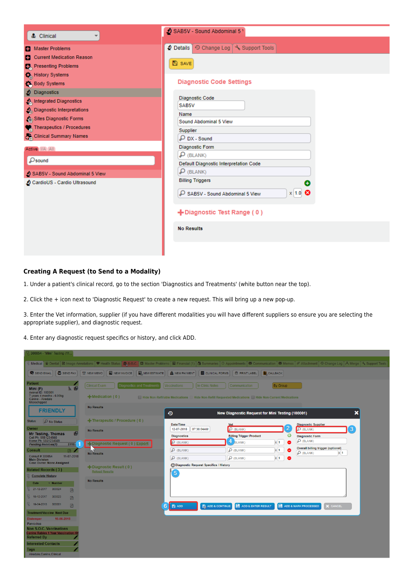| & Clinical<br>$\overline{\phantom{a}}$                                                                      | SAB5V - Sound Abdominal 5 \                                                                                                                       |  |  |  |
|-------------------------------------------------------------------------------------------------------------|---------------------------------------------------------------------------------------------------------------------------------------------------|--|--|--|
| Master Problems<br>Current Medication Reason<br>Presenting Problems                                         | 2 Details © Change Log \ Support Tools<br><b>A</b> SAVE                                                                                           |  |  |  |
| History Systems<br>Body Systems<br>Diagnostics<br><b>A</b> Integrated Diagnostics                           | <b>Diagnostic Code Settings</b><br>Diagnostic Code                                                                                                |  |  |  |
| Diagnostic Interpretations<br>Sites Diagnostic Forms<br>Therapeutics / Procedures<br>Clinical Summary Names | SAB5V<br>Name<br>Sound Abdominal 5 View<br>Supplier<br>$\mathcal{P}$ DX - Sound                                                                   |  |  |  |
| Active I/A All<br>Osound<br>SAB5V - Sound Abdominal 5 View<br>CardioUS - Cardio Ultrasound                  | <b>Diagnostic Form</b><br>$\mathbf{D}$ (BLANK)<br>Default Diagnostic Interpretation Code<br>$\mathcal{P}$ (BLANK)<br><b>Billing Triggers</b><br>÷ |  |  |  |
|                                                                                                             | $x \mid 1.0$ $\odot$<br>SAB5V - Sound Abdominal 5 View<br>+Diagnostic Test Range (0)                                                              |  |  |  |
|                                                                                                             | <b>No Results</b>                                                                                                                                 |  |  |  |

# <span id="page-5-0"></span>**Creating A Request (to Send to a Modality)**

1. Under a patient's clinical record, go to the section 'Diagnostics and Treatments' (white button near the top).

2. Click the + icon next to 'Diagnostic Request' to create a new request. This will bring up a new pop-up.

3. Enter the Vet information, supplier (if you have different modalities you will have different suppliers so ensure you are selecting the appropriate supplier), and diagnostic request.

4. Enter any diagnostic request specifics or history, and click ADD.

| 300054 - "Mini" Testing (11                                                                 |                                                              |                                                |                                                                                                        |                                                                                                                                                                                                                                |
|---------------------------------------------------------------------------------------------|--------------------------------------------------------------|------------------------------------------------|--------------------------------------------------------------------------------------------------------|--------------------------------------------------------------------------------------------------------------------------------------------------------------------------------------------------------------------------------|
|                                                                                             |                                                              |                                                |                                                                                                        | Wedical Windows Dental Le Image Annotations   Whealth Status   C.S.O.C. C Master Problems   B Financial (1) Not Summaries   © Appointments   © Communication   © Memos   Ø Attachment   © Change Log   A Merge   S, Support To |
| <b>B</b> SEND FAX<br>SEND EMAIL                                                             | NEW INVOICE<br><b>EL</b> , NEW ESTIMATE<br><b>D</b> NEW MEMO | A NEW PAYMENT                                  | <b>ED</b> CLINICAL FORMS<br><b>B</b> PRINT LABEL<br><b>E</b> CALLBACK                                  |                                                                                                                                                                                                                                |
| <b>Patient</b><br>回<br>Mini (F)                                                             | <b>Clinical Exam</b><br><b>Diagnostics and Treatments</b>    | <b>Vaccinations</b><br><b>In Clinic Notes</b>  | <b>By Group</b><br>Communication                                                                       |                                                                                                                                                                                                                                |
| Animal ID: 100001<br>7 years 4 months - 6.00kg<br>Canine - Airedale<br>Microchipped         | $\frac{1}{2}$ Medication (0)                                 |                                                | Hide Non-Refiliable Medications   Hide Non-Refill Requested Medications   Hide Non-Current Medications |                                                                                                                                                                                                                                |
| <b>FRIENDLY</b>                                                                             | <b>No Results</b>                                            | $\boldsymbol{\Omega}$                          | New Diagnostic Request for Mini Testing (100001)                                                       |                                                                                                                                                                                                                                |
| Status:<br>D No Status                                                                      | $+$ Therapeutic / Procedure (0)                              | Date/Time                                      | <b>Vet</b>                                                                                             | <b>Diagnostic Supplier</b>                                                                                                                                                                                                     |
| Owner<br>画<br>Mr Testing, Thomas<br>Cell Ph: 5551234568                                     | <b>No Results</b>                                            | 12-07-2018<br>07:36:04AM<br><b>Diagnostics</b> | 2<br>$\mathcal{D}$ (BLANK)<br>0<br><b>Billing Trigger Product</b>                                      | 3<br>$D$ (BLANK)<br><b>Diagnostic Form</b>                                                                                                                                                                                     |
| Home Ph: 5551234569<br>1<br>\$110.1<br><b>Pending Invoices(1)</b>                           | Diagnostic Request (0) Export                                | <b>P</b> (BLANK)                               | $4$ BLANK)<br>$x \mid 1$<br>۰                                                                          | $D$ (BLANK)                                                                                                                                                                                                                    |
| <b>Consult</b><br>商                                                                         | <b>No Results</b>                                            | $D$ (BLANK)                                    | $x - 1$<br>$D$ (BLANK)                                                                                 | <b>Overall billing trigger (optional)</b><br>$D$ (BLANK)<br>x 1                                                                                                                                                                |
| 11-07-2018<br>Consult #300054<br><b>Main Division</b>                                       |                                                              | $D$ (BLANK)                                    | $D$ (BLANK)<br>$x - 1$<br>۰                                                                            |                                                                                                                                                                                                                                |
| Case Owner: None Assigned<br><b>Related Records (3)</b>                                     | $+$ Diagnostic Result (0)<br><b>Reload Results</b>           | O Diagnostic Request Specifics / History       |                                                                                                        |                                                                                                                                                                                                                                |
| <b>Complete History</b>                                                                     |                                                              | $\overline{\mathbf{5}}$                        |                                                                                                        |                                                                                                                                                                                                                                |
| $\blacktriangledown$ Number<br><b>Date</b>                                                  | <b>No Results</b>                                            |                                                |                                                                                                        |                                                                                                                                                                                                                                |
| 21-12-2017 300024<br>四                                                                      |                                                              |                                                |                                                                                                        |                                                                                                                                                                                                                                |
| 19-12-2017 300023<br>四                                                                      |                                                              |                                                |                                                                                                        |                                                                                                                                                                                                                                |
| 19-04-2013 300001<br>四                                                                      | 6                                                            | $\overline{\mathbf{B}}$ ADD                    | <b>B</b> , ADD & CONTINUE<br>ADD & ENTER RESULT                                                        | ADD & MARK PROCESSED<br>X CANCEL                                                                                                                                                                                               |
| <b>Treatment/Vaccine Next Due</b>                                                           |                                                              |                                                |                                                                                                        |                                                                                                                                                                                                                                |
| 16-06-2018<br><b>Distemper</b><br><b>Parvovirus</b>                                         |                                                              |                                                |                                                                                                        |                                                                                                                                                                                                                                |
| Non S.O.C. Vaccinations<br><b>Canine Rabies 1 Year Vaccination (0</b><br><b>Referred By</b> |                                                              |                                                |                                                                                                        |                                                                                                                                                                                                                                |
| <b>Interested Contacts</b>                                                                  |                                                              |                                                |                                                                                                        |                                                                                                                                                                                                                                |
| <b>Tags</b><br>Airedale, Canine, Clinical                                                   |                                                              |                                                |                                                                                                        |                                                                                                                                                                                                                                |